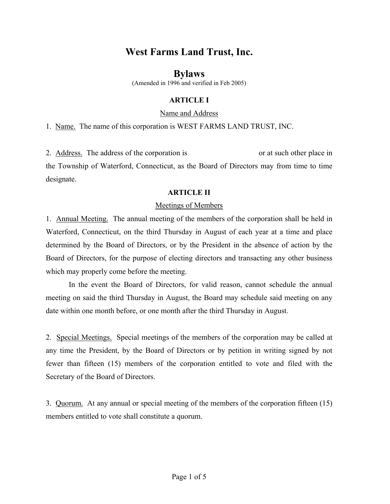# **West Farms Land Trust, Inc.**

# **Bylaws**

(Amended in 1996 and verified in Feb 2005)

# **ARTICLE I**

#### Name and Address

1. Name. The name of this corporation is WEST FARMS LAND TRUST, INC.

2. Address. The address of the corporation is or at such other place in the Township of Waterford, Connecticut, as the Board of Directors may from time to time designate.

#### **ARTICLE II**

### Meetings of Members

1. Annual Meeting. The annual meeting of the members of the corporation shall be held in Waterford, Connecticut, on the third Thursday in August of each year at a time and place determined by the Board of Directors, or by the President in the absence of action by the Board of Directors, for the purpose of electing directors and transacting any other business which may properly come before the meeting.

In the event the Board of Directors, for valid reason, cannot schedule the annual meeting on said the third Thursday in August, the Board may schedule said meeting on any date within one month before, or one month after the third Thursday in August.

2. Special Meetings. Special meetings of the members of the corporation may be called at any time the President, by the Board of Directors or by petition in writing signed by not fewer than fifteen (15) members of the corporation entitled to vote and filed with the Secretary of the Board of Directors.

3. Quorum. At any annual or special meeting of the members of the corporation fifteen (15) members entitled to vote shall constitute a quorum.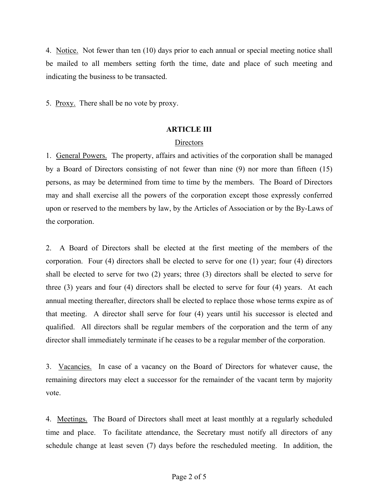4. Notice. Not fewer than ten (10) days prior to each annual or special meeting notice shall be mailed to all members setting forth the time, date and place of such meeting and indicating the business to be transacted.

5. Proxy. There shall be no vote by proxy.

#### **ARTICLE III**

#### **Directors**

1. General Powers. The property, affairs and activities of the corporation shall be managed by a Board of Directors consisting of not fewer than nine (9) nor more than fifteen (15) persons, as may be determined from time to time by the members. The Board of Directors may and shall exercise all the powers of the corporation except those expressly conferred upon or reserved to the members by law, by the Articles of Association or by the By-Laws of the corporation.

2. A Board of Directors shall be elected at the first meeting of the members of the corporation. Four (4) directors shall be elected to serve for one (1) year; four (4) directors shall be elected to serve for two (2) years; three (3) directors shall be elected to serve for three (3) years and four (4) directors shall be elected to serve for four (4) years. At each annual meeting thereafter, directors shall be elected to replace those whose terms expire as of that meeting. A director shall serve for four (4) years until his successor is elected and qualified. All directors shall be regular members of the corporation and the term of any director shall immediately terminate if he ceases to be a regular member of the corporation.

3. Vacancies. In case of a vacancy on the Board of Directors for whatever cause, the remaining directors may elect a successor for the remainder of the vacant term by majority vote.

4. Meetings. The Board of Directors shall meet at least monthly at a regularly scheduled time and place. To facilitate attendance, the Secretary must notify all directors of any schedule change at least seven (7) days before the rescheduled meeting. In addition, the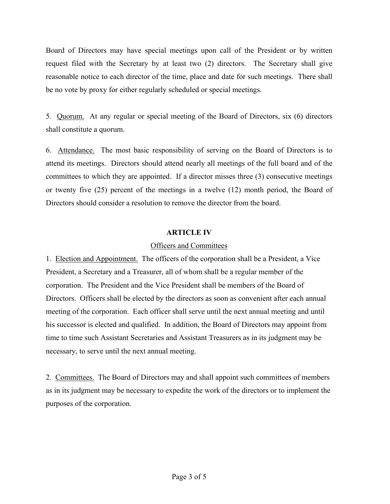Board of Directors may have special meetings upon call of the President or by written request filed with the Secretary by at least two (2) directors. The Secretary shall give reasonable notice to each director of the time, place and date for such meetings. There shall be no vote by proxy for either regularly scheduled or special meetings.

5. Quorum. At any regular or special meeting of the Board of Directors, six (6) directors shall constitute a quorum.

6. Attendance. The most basic responsibility of serving on the Board of Directors is to attend its meetings. Directors should attend nearly all meetings of the full board and of the committees to which they are appointed. If a director misses three (3) consecutive meetings or twenty five (25) percent of the meetings in a twelve (12) month period, the Board of Directors should consider a resolution to remove the director from the board.

#### **ARTICLE IV**

#### Officers and Committees

1. Election and Appointment. The officers of the corporation shall be a President, a Vice President, a Secretary and a Treasurer, all of whom shall be a regular member of the corporation. The President and the Vice President shall be members of the Board of Directors. Officers shall be elected by the directors as soon as convenient after each annual meeting of the corporation. Each officer shall serve until the next annual meeting and until his successor is elected and qualified. In addition, the Board of Directors may appoint from time to time such Assistant Secretaries and Assistant Treasurers as in its judgment may be necessary, to serve until the next annual meeting.

2. Committees. The Board of Directors may and shall appoint such committees of members as in its judgment may be necessary to expedite the work of the directors or to implement the purposes of the corporation.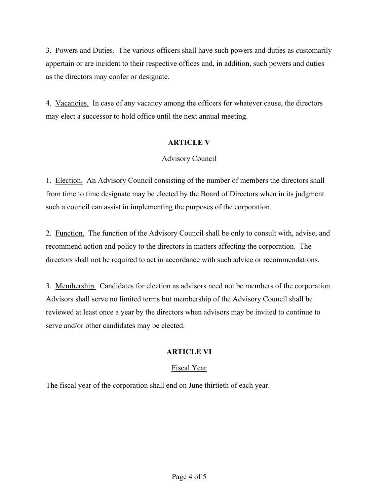3. Powers and Duties. The various officers shall have such powers and duties as customarily appertain or are incident to their respective offices and, in addition, such powers and duties as the directors may confer or designate.

4. Vacancies. In case of any vacancy among the officers for whatever cause, the directors may elect a successor to hold office until the next annual meeting.

### **ARTICLE V**

### Advisory Council

1. Election. An Advisory Council consisting of the number of members the directors shall from time to time designate may be elected by the Board of Directors when in its judgment such a council can assist in implementing the purposes of the corporation.

2. Function. The function of the Advisory Council shall be only to consult with, advise, and recommend action and policy to the directors in matters affecting the corporation. The directors shall not be required to act in accordance with such advice or recommendations.

3. Membership. Candidates for election as advisors need not be members of the corporation. Advisors shall serve no limited terms but membership of the Advisory Council shall be reviewed at least once a year by the directors when advisors may be invited to continue to serve and/or other candidates may be elected.

# **ARTICLE VI**

# Fiscal Year

The fiscal year of the corporation shall end on June thirtieth of each year.